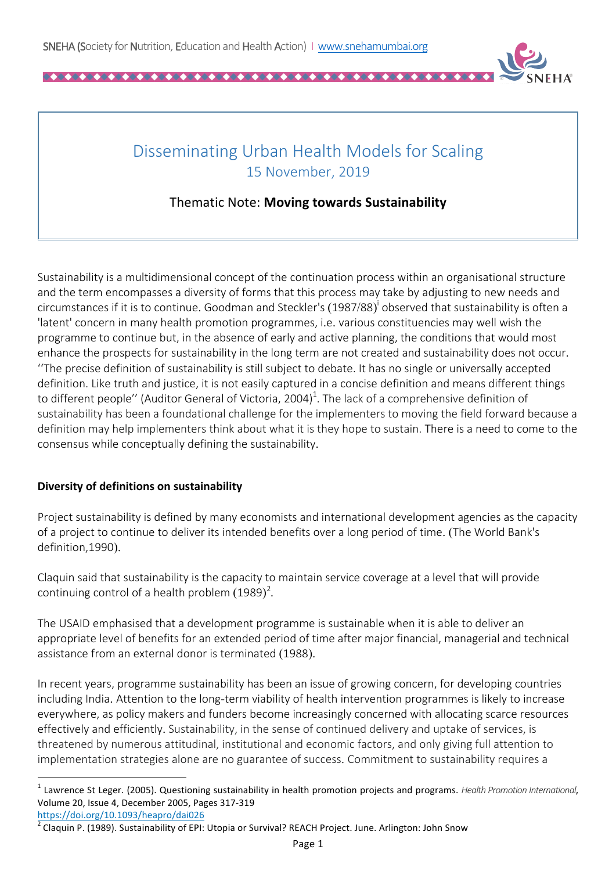

# Disseminating Urban Health Models for Scaling 15 November, 2019

# Thematic Note: **Moving towards Sustainability**

Sustainability is a multidimensional concept of the continuation process within an organisational structure and the term encompasses a diversity of forms that this process may take by adjusting to new needs and circumstances if it is to continue. Goodman and Steckler's  $(1987/88)^{i}$  observed that sustainability is often a 'latent' concern in many health promotion programmes, i.e. various constituencies may well wish the programme to continue but, in the absence of early and active planning, the conditions that would most enhance the prospects for sustainability in the long term are not created and sustainability does not occur. "The precise definition of sustainability is still subject to debate. It has no single or universally accepted definition. Like truth and justice, it is not easily captured in a concise definition and means different things to different people'' (Auditor General of Victoria, 2004)<sup>1</sup>. The lack of a comprehensive definition of sustainability has been a foundational challenge for the implementers to moving the field forward because a definition may help implementers think about what it is they hope to sustain. There is a need to come to the consensus while conceptually defining the sustainability.

## **Diversity of definitions on sustainability**

Project sustainability is defined by many economists and international development agencies as the capacity of a project to continue to deliver its intended benefits over a long period of time. (The World Bank's definition,1990).

Claquin said that sustainability is the capacity to maintain service coverage at a level that will provide continuing control of a health problem  $(1989)^2$ .

The USAID emphasised that a development programme is sustainable when it is able to deliver an appropriate level of benefits for an extended period of time after major financial, managerial and technical assistance from an external donor is terminated (1988).

In recent years, programme sustainability has been an issue of growing concern, for developing countries including India. Attention to the long-term viability of health intervention programmes is likely to increase everywhere, as policy makers and funders become increasingly concerned with allocating scarce resources effectively and efficiently. Sustainability, in the sense of continued delivery and uptake of services, is threatened by numerous attitudinal, institutional and economic factors, and only giving full attention to implementation strategies alone are no guarantee of success. Commitment to sustainability requires a

<u> 1989 - Johann Barn, mars ann an t-Amhain an t-Amhain an t-Amhain an t-Amhain an t-Amhain an t-Amhain an t-Amh</u>

<sup>&</sup>lt;sup>1</sup> Lawrence St Leger. (2005). Questioning sustainability in health promotion projects and programs. *Health Promotion International*, Volume 20, Issue 4, December 2005, Pages 317-319

https://doi.org/10.1093/heapro/dai026

Claquin P. (1989). Sustainability of EPI: Utopia or Survival? REACH Project. June. Arlington: John Snow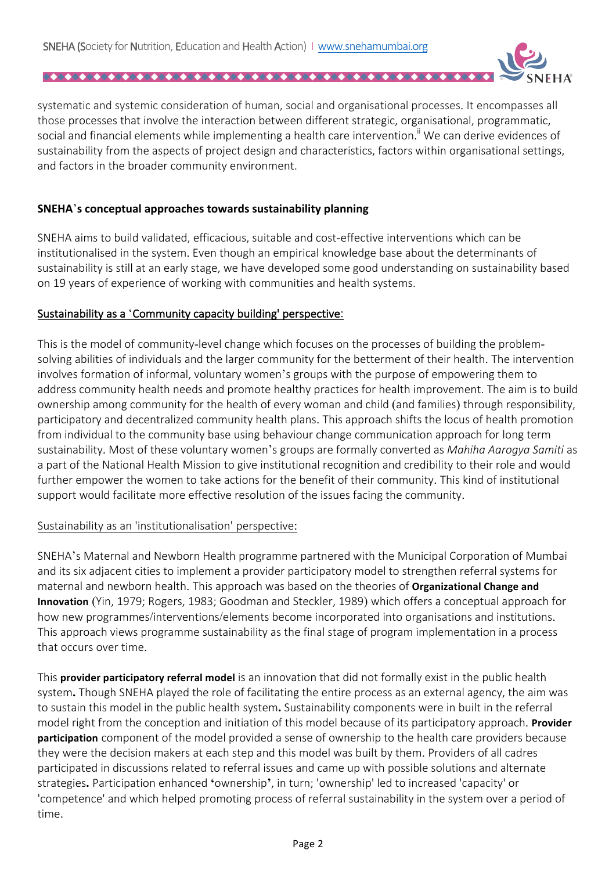systematic and systemic consideration of human, social and organisational processes. It encompasses all those processes that involve the interaction between different strategic, organisational, programmatic, social and financial elements while implementing a health care intervention.<sup>"</sup> We can derive evidences of sustainability from the aspects of project design and characteristics, factors within organisational settings, and factors in the broader community environment.

#### **SNEHA**'s conceptual approaches towards sustainability planning

SNEHA aims to build validated, efficacious, suitable and cost-effective interventions which can be institutionalised in the system. Even though an empirical knowledge base about the determinants of sustainability is still at an early stage, we have developed some good understanding on sustainability based on 19 years of experience of working with communities and health systems.

#### Sustainability as a 'Community capacity building' perspective:

This is the model of community-level change which focuses on the processes of building the problemsolving abilities of individuals and the larger community for the betterment of their health. The intervention involves formation of informal, voluntary women's groups with the purpose of empowering them to address community health needs and promote healthy practices for health improvement. The aim is to build ownership among community for the health of every woman and child (and families) through responsibility, participatory and decentralized community health plans. This approach shifts the locus of health promotion from individual to the community base using behaviour change communication approach for long term sustainability. Most of these voluntary women's groups are formally converted as *Mahiha Aarogya Samiti* as a part of the National Health Mission to give institutional recognition and credibility to their role and would further empower the women to take actions for the benefit of their community. This kind of institutional support would facilitate more effective resolution of the issues facing the community.

#### Sustainability as an 'institutionalisation' perspective:

SNEHA's Maternal and Newborn Health programme partnered with the Municipal Corporation of Mumbai and its six adjacent cities to implement a provider participatory model to strengthen referral systems for maternal and newborn health. This approach was based on the theories of Organizational Change and **Innovation** (Yin, 1979; Rogers, 1983; Goodman and Steckler, 1989) which offers a conceptual approach for how new programmes/interventions/elements become incorporated into organisations and institutions. This approach views programme sustainability as the final stage of program implementation in a process that occurs over time.

This **provider participatory referral model** is an innovation that did not formally exist in the public health system. Though SNEHA played the role of facilitating the entire process as an external agency, the aim was to sustain this model in the public health system. Sustainability components were in built in the referral model right from the conception and initiation of this model because of its participatory approach. **Provider participation** component of the model provided a sense of ownership to the health care providers because they were the decision makers at each step and this model was built by them. Providers of all cadres participated in discussions related to referral issues and came up with possible solutions and alternate strategies. Participation enhanced 'ownership', in turn; 'ownership' led to increased 'capacity' or 'competence' and which helped promoting process of referral sustainability in the system over a period of time.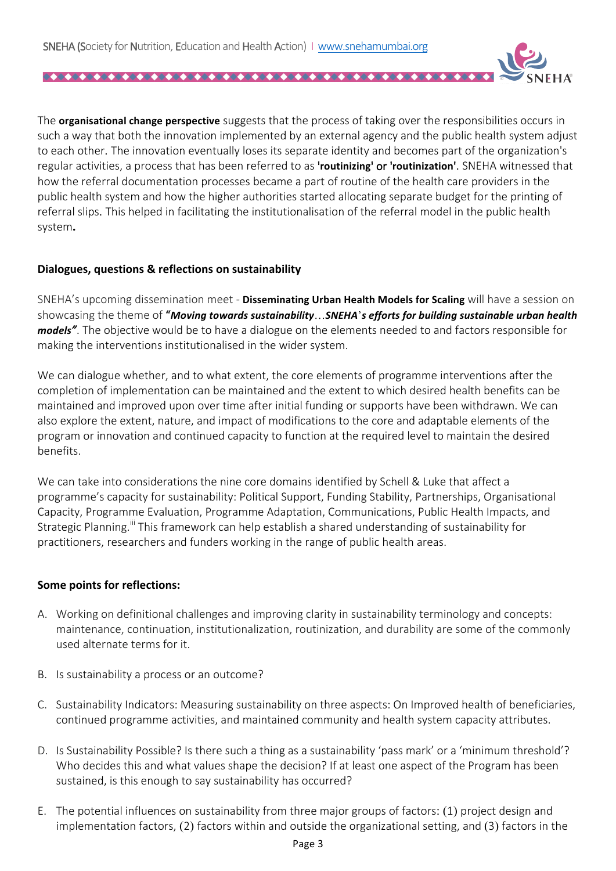

The **organisational change perspective** suggests that the process of taking over the responsibilities occurs in such a way that both the innovation implemented by an external agency and the public health system adjust to each other. The innovation eventually loses its separate identity and becomes part of the organization's regular activities, a process that has been referred to as 'routinizing' or 'routinization'. SNEHA witnessed that how the referral documentation processes became a part of routine of the health care providers in the public health system and how the higher authorities started allocating separate budget for the printing of referral slips. This helped in facilitating the institutionalisation of the referral model in the public health system**.**

## **Dialogues, questions & reflections on sustainability**

SNEHA's upcoming dissemination meet - **Disseminating Urban Health Models for Scaling** will have a session on showcasing the theme of "Moving towards sustainability...SNEHA's efforts for building sustainable urban health *models*<sup>"</sup>. The objective would be to have a dialogue on the elements needed to and factors responsible for making the interventions institutionalised in the wider system.

We can dialogue whether, and to what extent, the core elements of programme interventions after the completion of implementation can be maintained and the extent to which desired health benefits can be maintained and improved upon over time after initial funding or supports have been withdrawn. We can also explore the extent, nature, and impact of modifications to the core and adaptable elements of the program or innovation and continued capacity to function at the required level to maintain the desired benefits.

We can take into considerations the nine core domains identified by Schell & Luke that affect a programme's capacity for sustainability: Political Support, Funding Stability, Partnerships, Organisational Capacity, Programme Evaluation, Programme Adaptation, Communications, Public Health Impacts, and Strategic Planning.<sup>iii</sup> This framework can help establish a shared understanding of sustainability for practitioners, researchers and funders working in the range of public health areas.

#### **Some points for reflections:**

- A. Working on definitional challenges and improving clarity in sustainability terminology and concepts: maintenance, continuation, institutionalization, routinization, and durability are some of the commonly used alternate terms for it.
- B. Is sustainability a process or an outcome?
- C. Sustainability Indicators: Measuring sustainability on three aspects: On Improved health of beneficiaries, continued programme activities, and maintained community and health system capacity attributes.
- D. Is Sustainability Possible? Is there such a thing as a sustainability 'pass mark' or a 'minimum threshold'? Who decides this and what values shape the decision? If at least one aspect of the Program has been sustained, is this enough to say sustainability has occurred?
- E. The potential influences on sustainability from three major groups of factors: (1) project design and implementation factors,  $(2)$  factors within and outside the organizational setting, and  $(3)$  factors in the